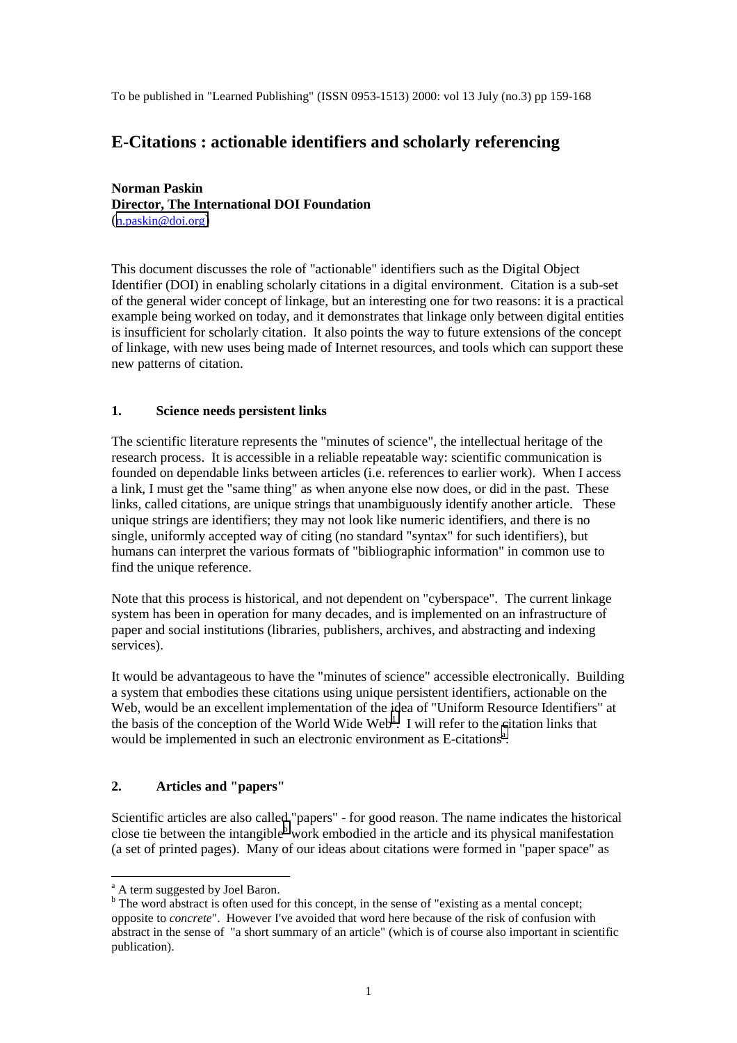To be published in "Learned Publishing" (ISSN 0953-1513) 2000: vol 13 July (no.3) pp 159-168

# **E-Citations : actionable identifiers and scholarly referencing**

#### **Norman Paskin Director, The International DOI Foundation** [\(n.paskin@doi.org\)](mailto:n.paskin@doi.org)

This document discusses the role of "actionable" identifiers such as the Digital Object Identifier (DOI) in enabling scholarly citations in a digital environment. Citation is a sub-set of the general wider concept of linkage, but an interesting one for two reasons: it is a practical example being worked on today, and it demonstrates that linkage only between digital entities is insufficient for scholarly citation. It also points the way to future extensions of the concept of linkage, with new uses being made of Internet resources, and tools which can support these new patterns of citation.

### **1. Science needs persistent links**

The scientific literature represents the "minutes of science", the intellectual heritage of the research process. It is accessible in a reliable repeatable way: scientific communication is founded on dependable links between articles (i.e. references to earlier work). When I access a link, I must get the "same thing" as when anyone else now does, or did in the past. These links, called citations, are unique strings that unambiguously identify another article. These unique strings are identifiers; they may not look like numeric identifiers, and there is no single, uniformly accepted way of citing (no standard "syntax" for such identifiers), but humans can interpret the various formats of "bibliographic information" in common use to find the unique reference.

Note that this process is historical, and not dependent on "cyberspace". The current linkage system has been in operation for many decades, and is implemented on an infrastructure of paper and social institutions (libraries, publishers, archives, and abstracting and indexing services).

It would be advantageous to have the "minutes of science" accessible electronically. Building a system that embodies these citations using unique persistent identifiers, actionable on the Web, would be an excellent implementation of the idea of "Uniform Resource Identifiers" at the basis of the conception of the World Wide Web<sup>1</sup>. I will refer to the citation links that would be implemented in such an electronic environment as E-citations<sup>a</sup>.

#### **2. Articles and "papers"**

Scientific articles are also called "papers" - for good reason. The name indicates the historical close tie between the intangible<sup>b</sup> work embodied in the article and its physical manifestation (a set of printed pages). Many of our ideas about citations were formed in "paper space" as

l

<sup>&</sup>lt;sup>a</sup> A term suggested by Joel Baron.

<sup>&</sup>lt;sup>b</sup> The word abstract is often used for this concept, in the sense of "existing as a mental concept; opposite to *concrete*". However I've avoided that word here because of the risk of confusion with abstract in the sense of "a short summary of an article" (which is of course also important in scientific publication).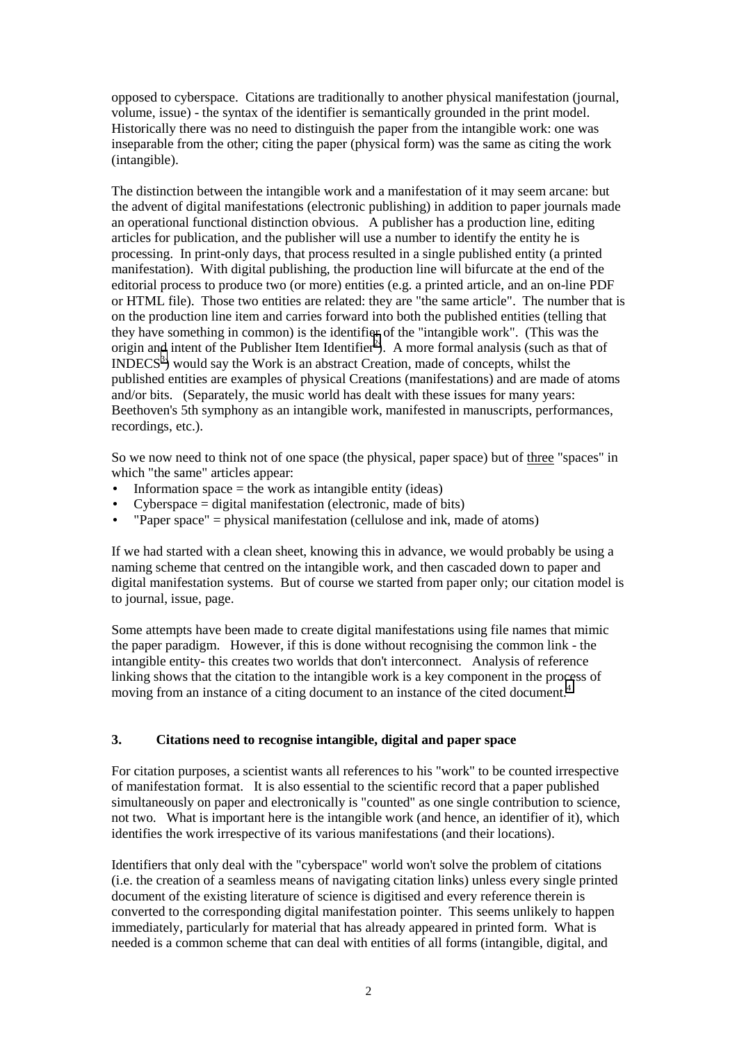opposed to cyberspace. Citations are traditionally to another physical manifestation (journal, volume, issue) - the syntax of the identifier is semantically grounded in the print model. Historically there was no need to distinguish the paper from the intangible work: one was inseparable from the other; citing the paper (physical form) was the same as citing the work (intangible).

The distinction between the intangible work and a manifestation of it may seem arcane: but the advent of digital manifestations (electronic publishing) in addition to paper journals made an operational functional distinction obvious. A publisher has a production line, editing articles for publication, and the publisher will use a number to identify the entity he is processing. In print-only days, that process resulted in a single published entity (a printed manifestation). With digital publishing, the production line will bifurcate at the end of the editorial process to produce two (or more) entities (e.g. a printed article, and an on-line PDF or HTML file). Those two entities are related: they are "the same article". The number that is on the production line item and carries forward into both the published entities (telling that they have something in common) is the identifier of the "intangible work". (This was the origin and intent of the Publisher Item Identifier<sup>[2](#page-8-0)</sup>). A more formal analysis (such as that of  $INDECS<sup>3</sup>$  $INDECS<sup>3</sup>$  $INDECS<sup>3</sup>$ ) would say the Work is an abstract Creation, made of concepts, whilst the published entities are examples of physical Creations (manifestations) and are made of atoms and/or bits. (Separately, the music world has dealt with these issues for many years: Beethoven's 5th symphony as an intangible work, manifested in manuscripts, performances, recordings, etc.).

So we now need to think not of one space (the physical, paper space) but of three "spaces" in which "the same" articles appear:

- Information space  $=$  the work as intangible entity (ideas)
- Cyberspace = digital manifestation (electronic, made of bits)
- "Paper space" = physical manifestation (cellulose and ink, made of atoms)

If we had started with a clean sheet, knowing this in advance, we would probably be using a naming scheme that centred on the intangible work, and then cascaded down to paper and digital manifestation systems. But of course we started from paper only; our citation model is to journal, issue, page.

Some attempts have been made to create digital manifestations using file names that mimic the paper paradigm. However, if this is done without recognising the common link - the intangible entity- this creates two worlds that don't interconnect. Analysis of reference linking shows that the citation to the intangible work is a key component in the process of moving from an instance of a citing document to an instance of the cited document.<sup>[4](#page-8-0)</sup>

# **3. Citations need to recognise intangible, digital and paper space**

For citation purposes, a scientist wants all references to his "work" to be counted irrespective of manifestation format. It is also essential to the scientific record that a paper published simultaneously on paper and electronically is "counted" as one single contribution to science, not two. What is important here is the intangible work (and hence, an identifier of it), which identifies the work irrespective of its various manifestations (and their locations).

Identifiers that only deal with the "cyberspace" world won't solve the problem of citations (i.e. the creation of a seamless means of navigating citation links) unless every single printed document of the existing literature of science is digitised and every reference therein is converted to the corresponding digital manifestation pointer. This seems unlikely to happen immediately, particularly for material that has already appeared in printed form. What is needed is a common scheme that can deal with entities of all forms (intangible, digital, and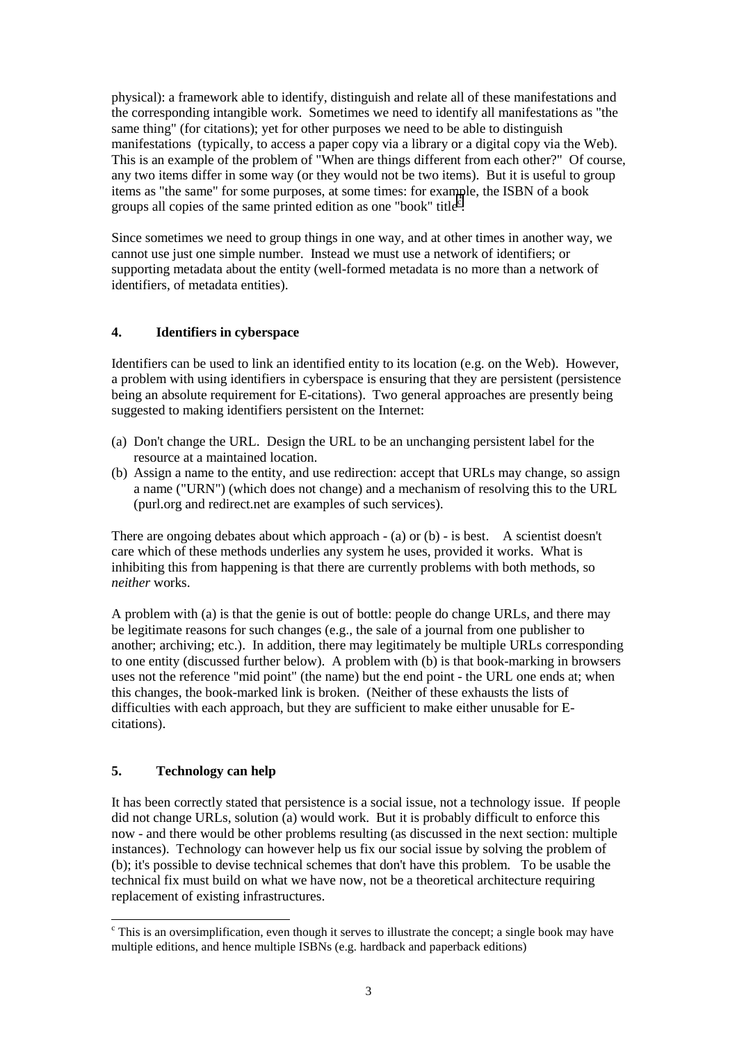physical): a framework able to identify, distinguish and relate all of these manifestations and the corresponding intangible work. Sometimes we need to identify all manifestations as "the same thing" (for citations); yet for other purposes we need to be able to distinguish manifestations (typically, to access a paper copy via a library or a digital copy via the Web). This is an example of the problem of "When are things different from each other?" Of course, any two items differ in some way (or they would not be two items). But it is useful to group items as "the same" for some purposes, at some times: for example, the ISBN of a book groups all copies of the same printed edition as one "book" title<sup>c</sup>.

Since sometimes we need to group things in one way, and at other times in another way, we cannot use just one simple number. Instead we must use a network of identifiers; or supporting metadata about the entity (well-formed metadata is no more than a network of identifiers, of metadata entities).

# **4. Identifiers in cyberspace**

Identifiers can be used to link an identified entity to its location (e.g. on the Web). However, a problem with using identifiers in cyberspace is ensuring that they are persistent (persistence being an absolute requirement for E-citations). Two general approaches are presently being suggested to making identifiers persistent on the Internet:

- (a) Don't change the URL. Design the URL to be an unchanging persistent label for the resource at a maintained location.
- (b) Assign a name to the entity, and use redirection: accept that URLs may change, so assign a name ("URN") (which does not change) and a mechanism of resolving this to the URL (purl.org and redirect.net are examples of such services).

There are ongoing debates about which approach - (a) or (b) - is best. A scientist doesn't care which of these methods underlies any system he uses, provided it works. What is inhibiting this from happening is that there are currently problems with both methods, so *neither* works.

A problem with (a) is that the genie is out of bottle: people do change URLs, and there may be legitimate reasons for such changes (e.g., the sale of a journal from one publisher to another; archiving; etc.). In addition, there may legitimately be multiple URLs corresponding to one entity (discussed further below). A problem with (b) is that book-marking in browsers uses not the reference "mid point" (the name) but the end point - the URL one ends at; when this changes, the book-marked link is broken. (Neither of these exhausts the lists of difficulties with each approach, but they are sufficient to make either unusable for Ecitations).

# **5. Technology can help**

It has been correctly stated that persistence is a social issue, not a technology issue. If people did not change URLs, solution (a) would work. But it is probably difficult to enforce this now - and there would be other problems resulting (as discussed in the next section: multiple instances). Technology can however help us fix our social issue by solving the problem of (b); it's possible to devise technical schemes that don't have this problem. To be usable the technical fix must build on what we have now, not be a theoretical architecture requiring replacement of existing infrastructures.

 $\overline{a}$ <sup>c</sup> This is an oversimplification, even though it serves to illustrate the concept; a single book may have multiple editions, and hence multiple ISBNs (e.g. hardback and paperback editions)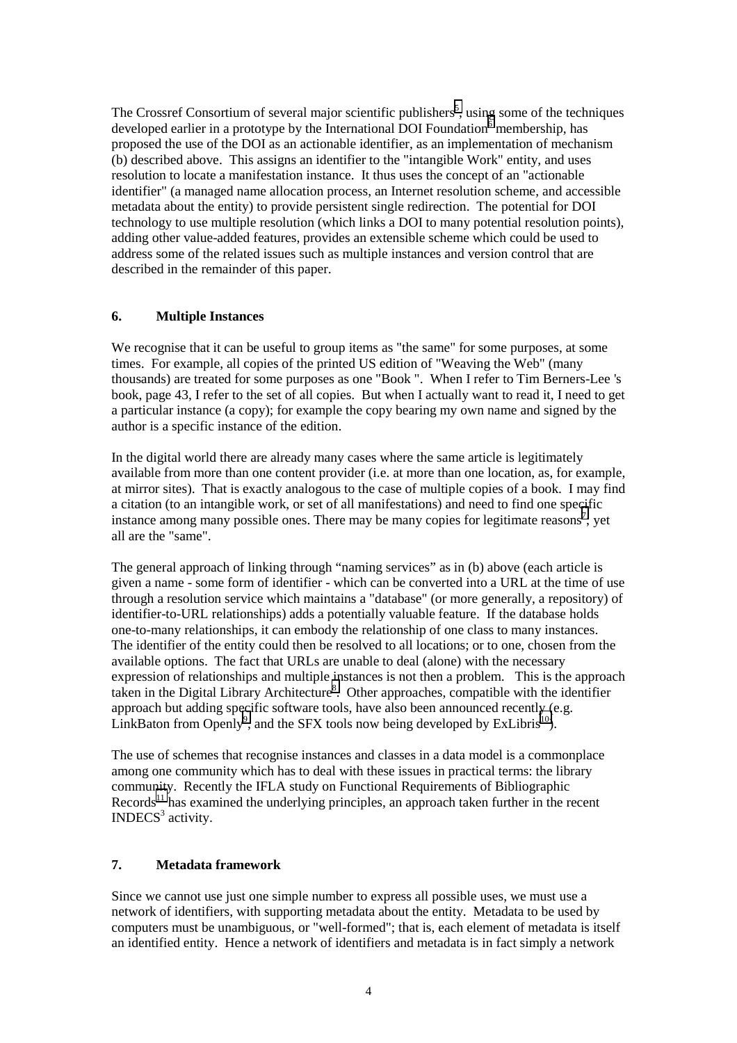The Crossref Consortium of several major scientific publishers<sup>5</sup>, using some of the techniques developed earlier in a prototype by the International DOI Foundation  $\overline{6}$  membership, has proposed the use of the DOI as an actionable identifier, as an implementation of mechanism (b) described above. This assigns an identifier to the "intangible Work" entity, and uses resolution to locate a manifestation instance. It thus uses the concept of an "actionable identifier" (a managed name allocation process, an Internet resolution scheme, and accessible metadata about the entity) to provide persistent single redirection. The potential for DOI technology to use multiple resolution (which links a DOI to many potential resolution points), adding other value-added features, provides an extensible scheme which could be used to address some of the related issues such as multiple instances and version control that are described in the remainder of this paper.

#### **6. Multiple Instances**

We recognise that it can be useful to group items as "the same" for some purposes, at some times. For example, all copies of the printed US edition of "Weaving the Web" (many thousands) are treated for some purposes as one "Book ". When I refer to Tim Berners-Lee 's book, page 43, I refer to the set of all copies. But when I actually want to read it, I need to get a particular instance (a copy); for example the copy bearing my own name and signed by the author is a specific instance of the edition.

In the digital world there are already many cases where the same article is legitimately available from more than one content provider (i.e. at more than one location, as, for example, at mirror sites). That is exactly analogous to the case of multiple copies of a book. I may find a citation (to an intangible work, or set of all manifestations) and need to find one spe[cif](#page-8-0)ic instance among many possible ones. There may be many copies for legitimate reasons<sup>7</sup>; yet all are the "same".

The general approach of linking through "naming services" as in (b) above (each article is given a name - some form of identifier - which can be converted into a URL at the time of use through a resolution service which maintains a "database" (or more generally, a repository) of identifier-to-URL relationships) adds a potentially valuable feature. If the database holds one-to-many relationships, it can embody the relationship of one class to many instances. The identifier of the entity could then be resolved to all locations; or to one, chosen from the available options. The fact that URLs are unable to deal (alone) with the necessary expression of relationships and multiple instances is not then a problem. This is the approach taken in the Digital Library Architecture<sup>8</sup>. Other approaches, compatible with the identifier approach but adding specific software tools, have also been announced recently (e.g. LinkBaton from Openly<sup>9</sup>, and the SFX tools now being developed by ExLibris<sup>10</sup>).

The use of schemes that recognise instances and classes in a data model is a commonplace among one community which has to deal with these issues in practical terms: the library community. Recently the IFLA study on Functional Requirements of Bibliographic  $\text{Records}^{11}$  has examined the underlying principles, an approach taken further in the recent INDECS $3$  activity.

# **7. Metadata framework**

Since we cannot use just one simple number to express all possible uses, we must use a network of identifiers, with supporting metadata about the entity. Metadata to be used by computers must be unambiguous, or "well-formed"; that is, each element of metadata is itself an identified entity. Hence a network of identifiers and metadata is in fact simply a network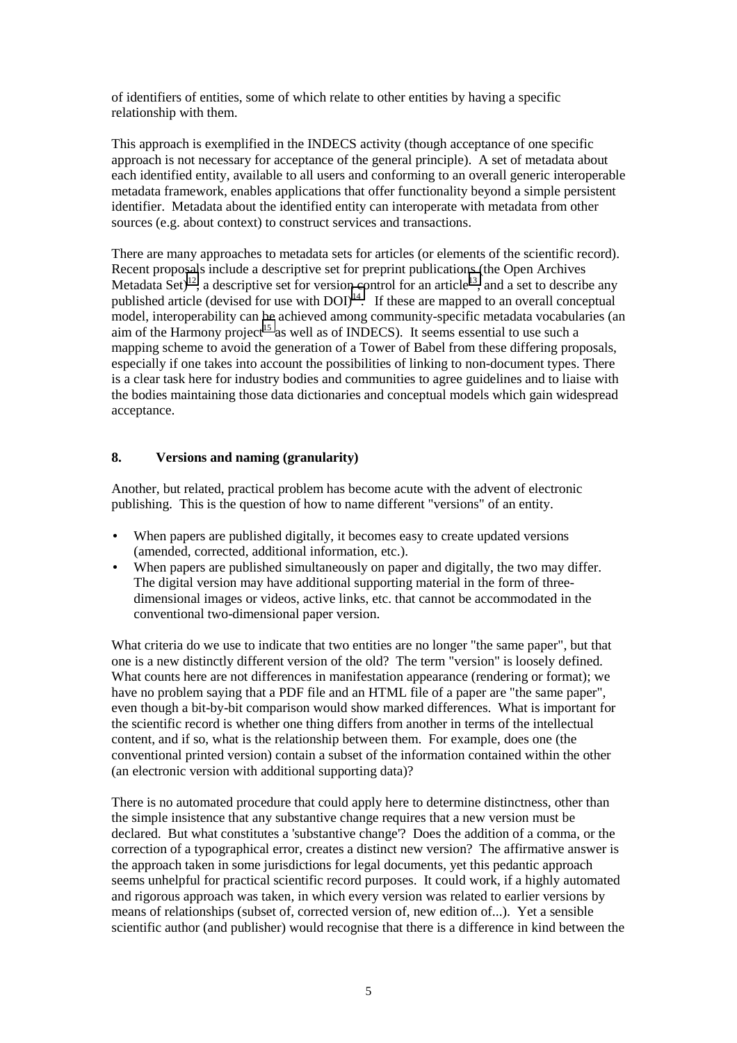of identifiers of entities, some of which relate to other entities by having a specific relationship with them.

This approach is exemplified in the INDECS activity (though acceptance of one specific approach is not necessary for acceptance of the general principle). A set of metadata about each identified entity, available to all users and conforming to an overall generic interoperable metadata framework, enables applications that offer functionality beyond a simple persistent identifier. Metadata about the identified entity can interoperate with metadata from other sources (e.g. about context) to construct services and transactions.

There are many approaches to metadata sets for articles (or elements of the scientific record). Recent proposals include a descriptive set for preprint publications (the Open Archives Metadata Set)<sup>12</sup>, a descriptive set for version control for an article<sup>13</sup>, and a set to describe any published article (devised for use with  $DOI)^{14}$ . If these are mapped to an overall conceptual model, interoperability can be achieved among community-specific metadata vocabularies (an aim of the Harmony project<sup>15</sup> as well as of INDECS). It seems essential to use such a mapping scheme to avoid the generation of a Tower of Babel from these differing proposals, especially if one takes into account the possibilities of linking to non-document types. There is a clear task here for industry bodies and communities to agree guidelines and to liaise with the bodies maintaining those data dictionaries and conceptual models which gain widespread acceptance.

# **8. Versions and naming (granularity)**

Another, but related, practical problem has become acute with the advent of electronic publishing. This is the question of how to name different "versions" of an entity.

- When papers are published digitally, it becomes easy to create updated versions (amended, corrected, additional information, etc.).
- When papers are published simultaneously on paper and digitally, the two may differ. The digital version may have additional supporting material in the form of threedimensional images or videos, active links, etc. that cannot be accommodated in the conventional two-dimensional paper version.

What criteria do we use to indicate that two entities are no longer "the same paper", but that one is a new distinctly different version of the old? The term "version" is loosely defined. What counts here are not differences in manifestation appearance (rendering or format); we have no problem saying that a PDF file and an HTML file of a paper are "the same paper", even though a bit-by-bit comparison would show marked differences. What is important for the scientific record is whether one thing differs from another in terms of the intellectual content, and if so, what is the relationship between them. For example, does one (the conventional printed version) contain a subset of the information contained within the other (an electronic version with additional supporting data)?

There is no automated procedure that could apply here to determine distinctness, other than the simple insistence that any substantive change requires that a new version must be declared. But what constitutes a 'substantive change'? Does the addition of a comma, or the correction of a typographical error, creates a distinct new version? The affirmative answer is the approach taken in some jurisdictions for legal documents, yet this pedantic approach seems unhelpful for practical scientific record purposes. It could work, if a highly automated and rigorous approach was taken, in which every version was related to earlier versions by means of relationships (subset of, corrected version of, new edition of...). Yet a sensible scientific author (and publisher) would recognise that there is a difference in kind between the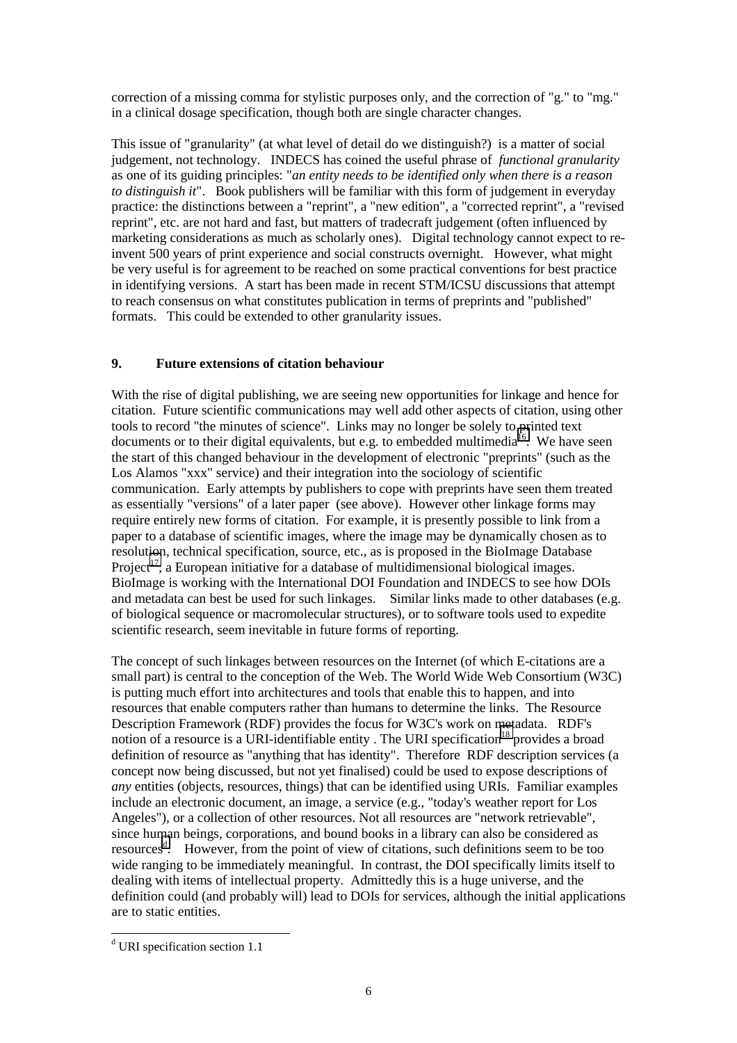correction of a missing comma for stylistic purposes only, and the correction of "g." to "mg." in a clinical dosage specification, though both are single character changes.

This issue of "granularity" (at what level of detail do we distinguish?) is a matter of social judgement, not technology. INDECS has coined the useful phrase of *functional granularity* as one of its guiding principles: "*an entity needs to be identified only when there is a reason to distinguish it*". Book publishers will be familiar with this form of judgement in everyday practice: the distinctions between a "reprint", a "new edition", a "corrected reprint", a "revised reprint", etc. are not hard and fast, but matters of tradecraft judgement (often influenced by marketing considerations as much as scholarly ones). Digital technology cannot expect to reinvent 500 years of print experience and social constructs overnight. However, what might be very useful is for agreement to be reached on some practical conventions for best practice in identifying versions. A start has been made in recent STM/ICSU discussions that attempt to reach consensus on what constitutes publication in terms of preprints and "published" formats. This could be extended to other granularity issues.

### **9. Future extensions of citation behaviour**

With the rise of digital publishing, we are seeing new opportunities for linkage and hence for citation. Future scientific communications may well add other aspects of citation, using other tools to record "the minutes of science". Links may no longer be solely to printed text documents or to their digital equivalents, but e.g. to embedded multimedia<sup>16</sup>. We have seen the start of this changed behaviour in the development of electronic "preprints" (such as the Los Alamos "xxx" service) and their integration into the sociology of scientific communication. Early attempts by publishers to cope with preprints have seen them treated as essentially "versions" of a later paper (see above). However other linkage forms may require entirely new forms of citation. For example, it is presently possible to link from a paper to a database of scientific images, where the image may be dynamically chosen as to resolution, technical specification, source, etc., as is proposed in the BioImage Database Project<sup>17</sup>, a European initiative for a database of multidimensional biological images. BioImage is working with the International DOI Foundation and INDECS to see how DOIs and metadata can best be used for such linkages. Similar links made to other databases (e.g. of biological sequence or macromolecular structures), or to software tools used to expedite scientific research, seem inevitable in future forms of reporting.

The concept of such linkages between resources on the Internet (of which E-citations are a small part) is central to the conception of the Web. The World Wide Web Consortium (W3C) is putting much effort into architectures and tools that enable this to happen, and into resources that enable computers rather than humans to determine the links. The Resource Description Framework (RDF) provides the focus for W3C's work on metadata. RDF's notion of a resource is a URI-identifiable entity. The URI specification<sup>18</sup> provides a broad definition of resource as "anything that has identity". Therefore RDF description services (a concept now being discussed, but not yet finalised) could be used to expose descriptions of *any* entities (objects, resources, things) that can be identified using URIs. Familiar examples include an electronic document, an image, a service (e.g., "today's weather report for Los Angeles"), or a collection of other resources. Not all resources are "network retrievable", since human beings, corporations, and bound books in a library can also be considered as resources<sup>d</sup>. However, from the point of view of citations, such definitions seem to be too wide ranging to be immediately meaningful. In contrast, the DOI specifically limits itself to dealing with items of intellectual property. Admittedly this is a huge universe, and the definition could (and probably will) lead to DOIs for services, although the initial applications are to static entities.

<sup>&</sup>lt;sup>d</sup> URI specification section 1.1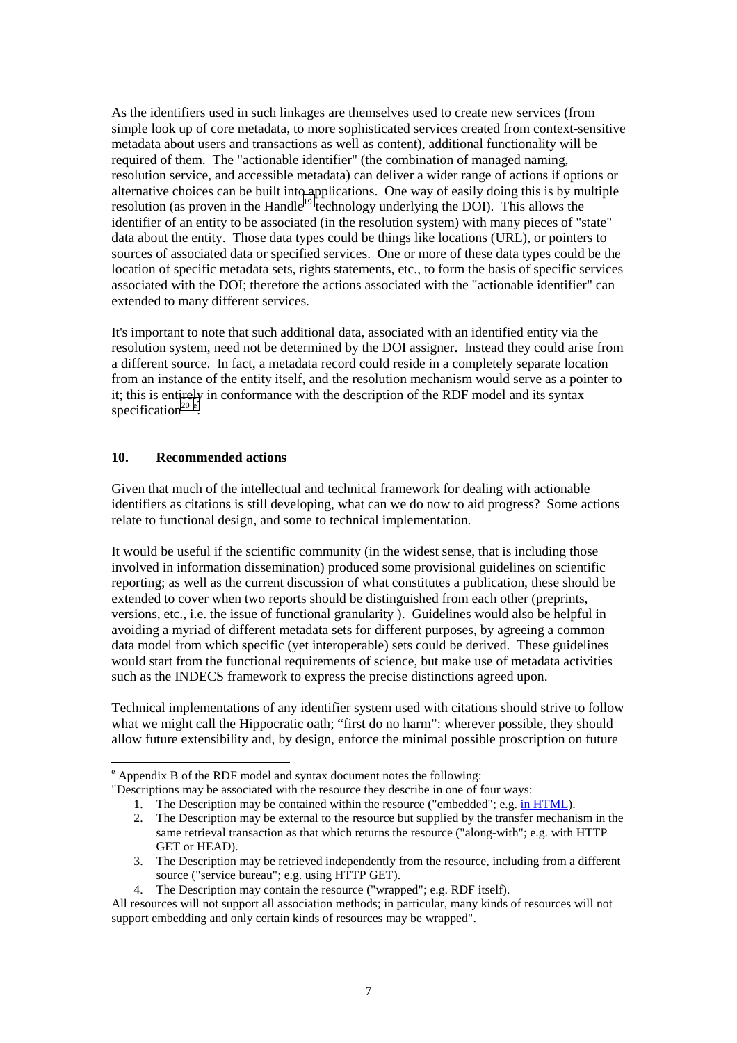As the identifiers used in such linkages are themselves used to create new services (from simple look up of core metadata, to more sophisticated services created from context-sensitive metadata about users and transactions as well as content), additional functionality will be required of them. The "actionable identifier" (the combination of managed naming, resolution service, and accessible metadata) can deliver a wider range of actions if options or alternative choices can be built into applications. One way of easily doing this is by multiple resolution (as proven in the Handle<sup>19</sup> technology underlying the DOI). This allows the identifier of an entity to be associated (in the resolution system) with many pieces of "state" data about the entity. Those data types could be things like locations (URL), or pointers to sources of associated data or specified services. One or more of these data types could be the location of specific metadata sets, rights statements, etc., to form the basis of specific services associated with the DOI; therefore the actions associated with the "actionable identifier" can extended to many different services.

It's important to note that such additional data, associated with an identified entity via the resolution system, need not be determined by the DOI assigner. Instead they could arise from a different source. In fact, a metadata record could reside in a completely separate location from an instance of the entity itself, and the resolution mechanism would serve as a pointer to it; this is entirely in conformance with the description of the RDF model and its syntax specification<sup>20 e</sup>.

#### **10. Recommended actions**

Given that much of the intellectual and technical framework for dealing with actionable identifiers as citations is still developing, what can we do now to aid progress? Some actions relate to functional design, and some to technical implementation.

It would be useful if the scientific community (in the widest sense, that is including those involved in information dissemination) produced some provisional guidelines on scientific reporting; as well as the current discussion of what constitutes a publication, these should be extended to cover when two reports should be distinguished from each other (preprints, versions, etc., i.e. the issue of functional granularity ). Guidelines would also be helpful in avoiding a myriad of different metadata sets for different purposes, by agreeing a common data model from which specific (yet interoperable) sets could be derived. These guidelines would start from the functional requirements of science, but make use of metadata activities such as the INDECS framework to express the precise distinctions agreed upon.

Technical implementations of any identifier system used with citations should strive to follow what we might call the Hippocratic oath; "first do no harm": wherever possible, they should allow future extensibility and, by design, enforce the minimal possible proscription on future

 $\overline{\phantom{a}}$ <sup>e</sup> Appendix B of the RDF model and syntax document notes the following:

<sup>&</sup>quot;Descriptions may be associated with the resource they describe in one of four ways:

<sup>1.</sup> The Description may be contained within the resource ("embedded"; e.g. in HTML).

<sup>2.</sup> The Description may be external to the resource but supplied by the transfer mechanism in the same retrieval transaction as that which returns the resource ("along-with"; e.g. with HTTP GET or HEAD).

<sup>3.</sup> The Description may be retrieved independently from the resource, including from a different source ("service bureau"; e.g. using HTTP GET).

<sup>4.</sup> The Description may contain the resource ("wrapped"; e.g. RDF itself).

All resources will not support all association methods; in particular, many kinds of resources will not support embedding and only certain kinds of resources may be wrapped".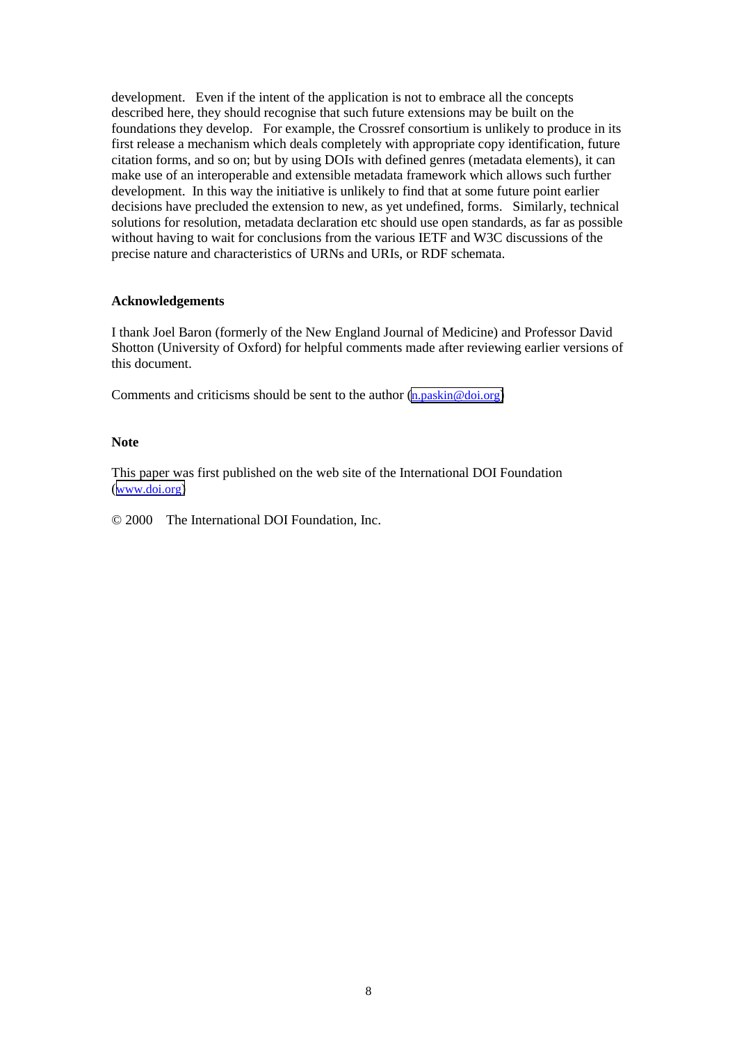development. Even if the intent of the application is not to embrace all the concepts described here, they should recognise that such future extensions may be built on the foundations they develop. For example, the Crossref consortium is unlikely to produce in its first release a mechanism which deals completely with appropriate copy identification, future citation forms, and so on; but by using DOIs with defined genres (metadata elements), it can make use of an interoperable and extensible metadata framework which allows such further development. In this way the initiative is unlikely to find that at some future point earlier decisions have precluded the extension to new, as yet undefined, forms. Similarly, technical solutions for resolution, metadata declaration etc should use open standards, as far as possible without having to wait for conclusions from the various IETF and W3C discussions of the precise nature and characteristics of URNs and URIs, or RDF schemata.

#### **Acknowledgements**

I thank Joel Baron (formerly of the New England Journal of Medicine) and Professor David Shotton (University of Oxford) for helpful comments made after reviewing earlier versions of this document.

Comments and criticisms should be sent to the author  $(n. paskin@doi.org)$ 

#### **Note**

This paper was first published on the web site of the International DOI Foundation ([www.doi.org\)](http://www.doi.org/)

© 2000 The International DOI Foundation, Inc.